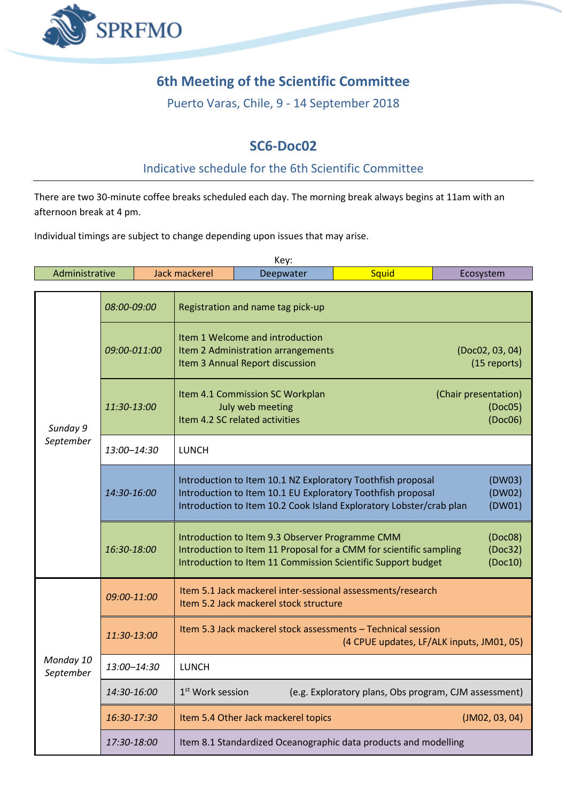

## **6th Meeting of the Scientific Committee**

Puerto Varas, Chile, 9 - 14 September 2018

## **SC6-Doc02**

## Indicative schedule for the 6th Scientific Committee

There are two 30-minute coffee breaks scheduled each day. The morning break always begins at 11am with an afternoon break at 4 pm.

Individual timings are subject to change depending upon issues that may arise.

| Key:                   |              |               |                                                                                                                                                                                                                                 |  |              |           |                                            |  |  |
|------------------------|--------------|---------------|---------------------------------------------------------------------------------------------------------------------------------------------------------------------------------------------------------------------------------|--|--------------|-----------|--------------------------------------------|--|--|
| Administrative         |              | Jack mackerel | Deepwater                                                                                                                                                                                                                       |  | <b>Squid</b> | Ecosystem |                                            |  |  |
|                        |              |               |                                                                                                                                                                                                                                 |  |              |           |                                            |  |  |
| Sunday 9<br>September  | 08:00-09:00  |               | Registration and name tag pick-up                                                                                                                                                                                               |  |              |           |                                            |  |  |
|                        | 09:00-011:00 |               | Item 1 Welcome and introduction<br>Item 2 Administration arrangements<br>Item 3 Annual Report discussion                                                                                                                        |  |              |           | (Doc02, 03, 04)<br>(15 reports)            |  |  |
|                        | 11:30-13:00  |               | Item 4.1 Commission SC Workplan<br>July web meeting<br>Item 4.2 SC related activities                                                                                                                                           |  |              |           | (Chair presentation)<br>(Doc05)<br>(Doc06) |  |  |
|                        | 13:00-14:30  |               | <b>LUNCH</b>                                                                                                                                                                                                                    |  |              |           |                                            |  |  |
|                        | 14:30-16:00  |               | Introduction to Item 10.1 NZ Exploratory Toothfish proposal<br>(DW03)<br>Introduction to Item 10.1 EU Exploratory Toothfish proposal<br>(DW02)<br>Introduction to Item 10.2 Cook Island Exploratory Lobster/crab plan<br>(DW01) |  |              |           |                                            |  |  |
|                        | 16:30-18:00  |               | Introduction to Item 9.3 Observer Programme CMM<br>Introduction to Item 11 Proposal for a CMM for scientific sampling<br>Introduction to Item 11 Commission Scientific Support budget                                           |  |              |           | (Doc08)<br>(Doc32)<br>(Doc10)              |  |  |
| Monday 10<br>September | 09:00-11:00  |               | Item 5.1 Jack mackerel inter-sessional assessments/research<br>Item 5.2 Jack mackerel stock structure                                                                                                                           |  |              |           |                                            |  |  |
|                        | 11:30-13:00  |               | Item 5.3 Jack mackerel stock assessments - Technical session<br>(4 CPUE updates, LF/ALK inputs, JM01, 05)                                                                                                                       |  |              |           |                                            |  |  |
|                        | 13:00-14:30  |               | <b>LUNCH</b>                                                                                                                                                                                                                    |  |              |           |                                            |  |  |
|                        | 14:30-16:00  |               | 1 <sup>st</sup> Work session<br>(e.g. Exploratory plans, Obs program, CJM assessment)                                                                                                                                           |  |              |           |                                            |  |  |
|                        | 16:30-17:30  |               | Item 5.4 Other Jack mackerel topics                                                                                                                                                                                             |  |              |           | (JM02, 03, 04)                             |  |  |
|                        | 17:30-18:00  |               | Item 8.1 Standardized Oceanographic data products and modelling                                                                                                                                                                 |  |              |           |                                            |  |  |